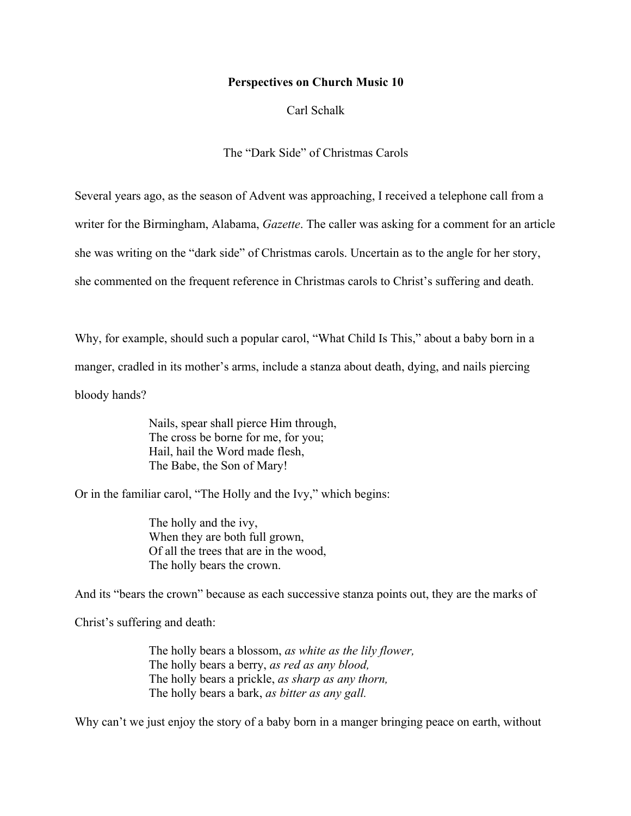## **Perspectives on Church Music 10**

Carl Schalk

The "Dark Side" of Christmas Carols

Several years ago, as the season of Advent was approaching, I received a telephone call from a writer for the Birmingham, Alabama, *Gazette*. The caller was asking for a comment for an article she was writing on the "dark side" of Christmas carols. Uncertain as to the angle for her story, she commented on the frequent reference in Christmas carols to Christ's suffering and death.

Why, for example, should such a popular carol, "What Child Is This," about a baby born in a manger, cradled in its mother's arms, include a stanza about death, dying, and nails piercing bloody hands?

> Nails, spear shall pierce Him through, The cross be borne for me, for you; Hail, hail the Word made flesh, The Babe, the Son of Mary!

Or in the familiar carol, "The Holly and the Ivy," which begins:

The holly and the ivy, When they are both full grown, Of all the trees that are in the wood, The holly bears the crown.

And its "bears the crown" because as each successive stanza points out, they are the marks of

Christ's suffering and death:

The holly bears a blossom, *as white as the lily flower,* The holly bears a berry, *as red as any blood,* The holly bears a prickle, *as sharp as any thorn,* The holly bears a bark, *as bitter as any gall.*

Why can't we just enjoy the story of a baby born in a manger bringing peace on earth, without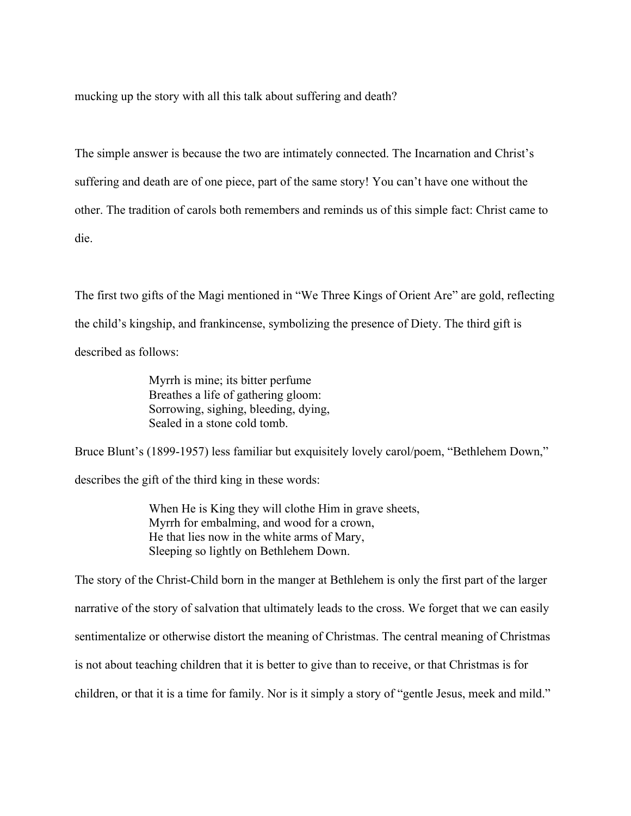mucking up the story with all this talk about suffering and death?

The simple answer is because the two are intimately connected. The Incarnation and Christ's suffering and death are of one piece, part of the same story! You can't have one without the other. The tradition of carols both remembers and reminds us of this simple fact: Christ came to die.

The first two gifts of the Magi mentioned in "We Three Kings of Orient Are" are gold, reflecting the child's kingship, and frankincense, symbolizing the presence of Diety. The third gift is described as follows:

> Myrrh is mine; its bitter perfume Breathes a life of gathering gloom: Sorrowing, sighing, bleeding, dying, Sealed in a stone cold tomb.

Bruce Blunt's (1899-1957) less familiar but exquisitely lovely carol/poem, "Bethlehem Down," describes the gift of the third king in these words:

> When He is King they will clothe Him in grave sheets, Myrrh for embalming, and wood for a crown, He that lies now in the white arms of Mary, Sleeping so lightly on Bethlehem Down.

The story of the Christ-Child born in the manger at Bethlehem is only the first part of the larger narrative of the story of salvation that ultimately leads to the cross. We forget that we can easily sentimentalize or otherwise distort the meaning of Christmas. The central meaning of Christmas is not about teaching children that it is better to give than to receive, or that Christmas is for children, or that it is a time for family. Nor is it simply a story of "gentle Jesus, meek and mild."